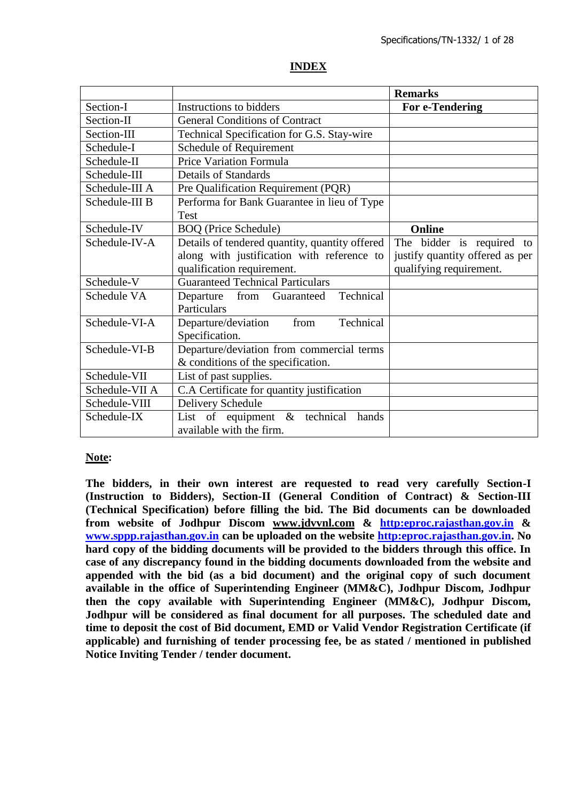#### **INDEX**

|                |                                                | <b>Remarks</b>                  |
|----------------|------------------------------------------------|---------------------------------|
| Section-I      | Instructions to bidders                        | For e-Tendering                 |
| Section-II     | <b>General Conditions of Contract</b>          |                                 |
| Section-III    | Technical Specification for G.S. Stay-wire     |                                 |
| Schedule-I     | Schedule of Requirement                        |                                 |
| Schedule-II    | <b>Price Variation Formula</b>                 |                                 |
| Schedule-III   | <b>Details of Standards</b>                    |                                 |
| Schedule-III A | Pre Qualification Requirement (PQR)            |                                 |
| Schedule-III B | Performa for Bank Guarantee in lieu of Type    |                                 |
|                | <b>Test</b>                                    |                                 |
| Schedule-IV    | <b>BOQ</b> (Price Schedule)                    | Online                          |
| Schedule-IV-A  | Details of tendered quantity, quantity offered | The bidder is required to       |
|                | along with justification with reference to     | justify quantity offered as per |
|                | qualification requirement.                     | qualifying requirement.         |
| Schedule-V     | <b>Guaranteed Technical Particulars</b>        |                                 |
| Schedule VA    | Technical<br>from<br>Departure<br>Guaranteed   |                                 |
|                | Particulars                                    |                                 |
| Schedule-VI-A  | Departure/deviation<br>Technical<br>from       |                                 |
|                | Specification.                                 |                                 |
| Schedule-VI-B  | Departure/deviation from commercial terms      |                                 |
|                | & conditions of the specification.             |                                 |
| Schedule-VII   | List of past supplies.                         |                                 |
| Schedule-VII A | C.A Certificate for quantity justification     |                                 |
| Schedule-VIII  | Delivery Schedule                              |                                 |
| Schedule-IX    | List of equipment $\&$ technical<br>hands      |                                 |
|                | available with the firm.                       |                                 |

#### **Note:**

**The bidders, in their own interest are requested to read very carefully Section-I (Instruction to Bidders), Section-II (General Condition of Contract) & Section-III (Technical Specification) before filling the bid. The Bid documents can be downloaded from website of Jodhpur Discom www.jdvvnl.com & [http:eproc.rajasthan.gov.in](Specs%20Section-III%20.doc) & [www.sppp.rajasthan.gov.in](http://www.sppp.raj.nic.in/) can be uploaded on the website [http:eproc.rajasthan.gov.in.](file:\\192.168.16.65\sk%20bhati%20sir\d\S%20K%20Bhati%20c%20drive\ss\SKB\Bhati-08\TN-937%20Onwards%20(2013-14)\TN-957%20Stay%20Wire\Specs%20Section-III%20.doc) No hard copy of the bidding documents will be provided to the bidders through this office. In case of any discrepancy found in the bidding documents downloaded from the website and appended with the bid (as a bid document) and the original copy of such document available in the office of Superintending Engineer (MM&C), Jodhpur Discom, Jodhpur then the copy available with Superintending Engineer (MM&C), Jodhpur Discom, Jodhpur will be considered as final document for all purposes. The scheduled date and time to deposit the cost of Bid document, EMD or Valid Vendor Registration Certificate (if applicable) and furnishing of tender processing fee, be as stated / mentioned in published Notice Inviting Tender / tender document.**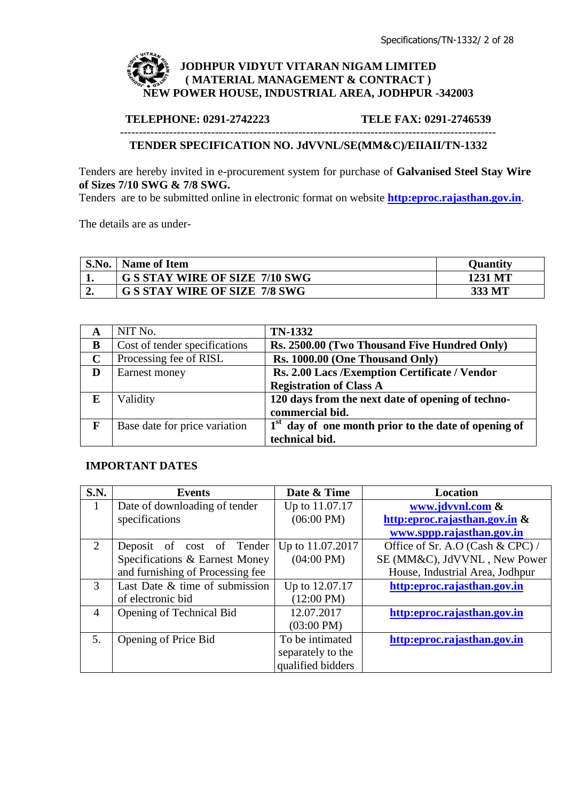

#### **TELEPHONE: 0291-2742223 TELE FAX: 0291-2746539** ---------------------------------------------------------------------------------------------------

### **TENDER SPECIFICATION NO. JdVVNL/SE(MM&C)/EIIAII/TN-1332**

Tenders are hereby invited in e-procurement system for purchase of **Galvanised Steel Stay Wire of Sizes 7/10 SWG & 7/8 SWG.** 

Tenders are to be submitted online in electronic format on website **[http:eproc.rajasthan.gov.in](http://www.eproc.rajasthan.gov.in/nicgep/app)**.

The details are as under-

| S.No. | <b>Name of Item</b>                   | Ouantity |
|-------|---------------------------------------|----------|
|       | <b>G S STAY WIRE OF SIZE 7/10 SWG</b> | 1231 MT  |
|       | <b>G S STAY WIRE OF SIZE 7/8 SWG</b>  | 333 MT   |

| A           | NIT No.                       | <b>TN-1332</b>                                         |
|-------------|-------------------------------|--------------------------------------------------------|
| B           | Cost of tender specifications | Rs. 2500.00 (Two Thousand Five Hundred Only)           |
| $\mathbf C$ | Processing fee of RISL        | Rs. 1000.00 (One Thousand Only)                        |
| D           | Earnest money                 | Rs. 2.00 Lacs /Exemption Certificate / Vendor          |
|             |                               | <b>Registration of Class A</b>                         |
| E           | Validity                      | 120 days from the next date of opening of techno-      |
|             |                               | commercial bid.                                        |
| F           | Base date for price variation | $1st$ day of one month prior to the date of opening of |
|             |                               | technical bid.                                         |

### **IMPORTANT DATES**

| S.N.                        | Events                           | Date & Time          | <b>Location</b>                  |
|-----------------------------|----------------------------------|----------------------|----------------------------------|
| 1                           | Date of downloading of tender    | Up to 11.07.17       | www.jdvvnl.com &                 |
|                             | specifications                   | $(06:00 \text{ PM})$ | http:eproc.rajasthan.gov.in &    |
|                             |                                  |                      | www.sppp.rajasthan.gov.in        |
| $\mathcal{D}_{\mathcal{L}}$ | Deposit of cost of Tender        | Up to 11.07.2017     | Office of Sr. A.O (Cash & CPC) / |
|                             | Specifications & Earnest Money   | $(04:00 \text{ PM})$ | SE (MM&C), JdVVNL, New Power     |
|                             | and furnishing of Processing fee |                      | House, Industrial Area, Jodhpur  |
| 3                           | Last Date & time of submission   | Up to 12.07.17       | http:eproc.rajasthan.gov.in      |
|                             | of electronic bid                | $(12:00 \text{ PM})$ |                                  |
| 4                           | Opening of Technical Bid         | 12.07.2017           | http:eproc.rajasthan.gov.in      |
|                             |                                  | $(03:00 \text{ PM})$ |                                  |
| 5.                          | Opening of Price Bid             | To be intimated      | http:eproc.rajasthan.gov.in      |
|                             |                                  | separately to the    |                                  |
|                             |                                  | qualified bidders    |                                  |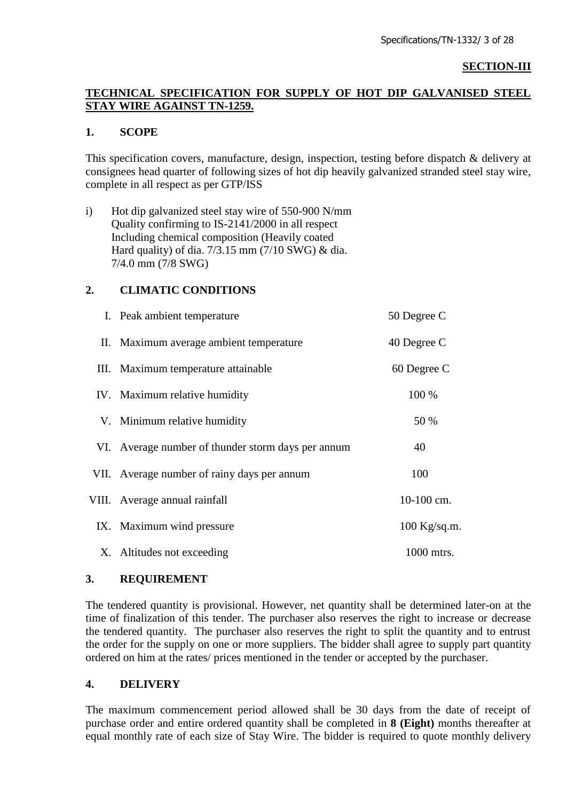#### **SECTION-III**

### **TECHNICAL SPECIFICATION FOR SUPPLY OF HOT DIP GALVANISED STEEL STAY WIRE AGAINST TN-1259.**

### **1. SCOPE**

This specification covers, manufacture, design, inspection, testing before dispatch & delivery at consignees head quarter of following sizes of hot dip heavily galvanized stranded steel stay wire, complete in all respect as per GTP/ISS

i) Hot dip galvanized steel stay wire of 550-900 N/mm Quality confirming to IS-2141/2000 in all respect Including chemical composition (Heavily coated Hard quality) of dia. 7/3.15 mm (7/10 SWG) & dia. 7/4.0 mm (7/8 SWG)

### **2. CLIMATIC CONDITIONS**

| I. Peak ambient temperature                        | 50 Degree C    |
|----------------------------------------------------|----------------|
| II. Maximum average ambient temperature            | 40 Degree C    |
| III. Maximum temperature attainable                | 60 Degree C    |
| IV. Maximum relative humidity                      | 100 %          |
| V. Minimum relative humidity                       | 50 %           |
| VI. Average number of thunder storm days per annum | 40             |
| VII. Average number of rainy days per annum        | 100            |
| VIII. Average annual rainfall                      | 10-100 cm.     |
| IX. Maximum wind pressure                          | $100$ Kg/sq.m. |
| X. Altitudes not exceeding                         | 1000 mtrs.     |

#### **3. REQUIREMENT**

The tendered quantity is provisional. However, net quantity shall be determined later-on at the time of finalization of this tender. The purchaser also reserves the right to increase or decrease the tendered quantity. The purchaser also reserves the right to split the quantity and to entrust the order for the supply on one or more suppliers. The bidder shall agree to supply part quantity ordered on him at the rates/ prices mentioned in the tender or accepted by the purchaser.

#### **4. DELIVERY**

The maximum commencement period allowed shall be 30 days from the date of receipt of purchase order and entire ordered quantity shall be completed in **8 (Eight)** months thereafter at equal monthly rate of each size of Stay Wire. The bidder is required to quote monthly delivery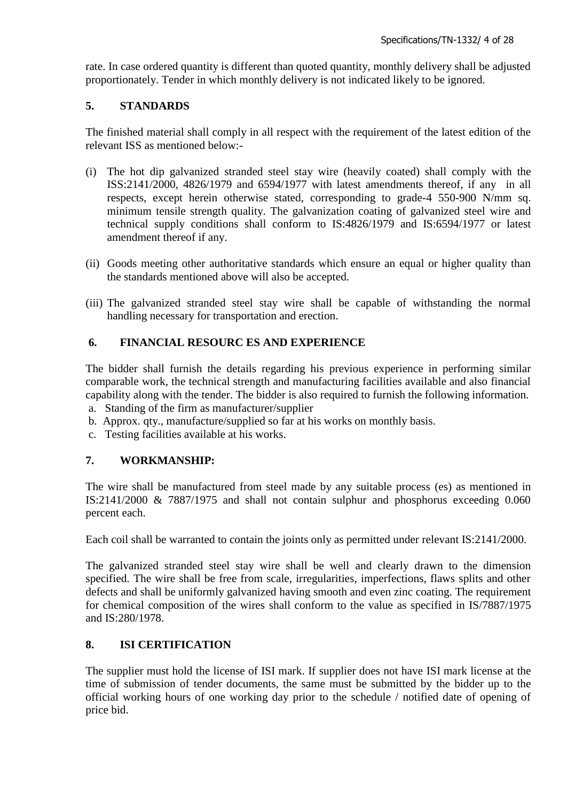rate. In case ordered quantity is different than quoted quantity, monthly delivery shall be adjusted proportionately. Tender in which monthly delivery is not indicated likely to be ignored.

### **5. STANDARDS**

The finished material shall comply in all respect with the requirement of the latest edition of the relevant ISS as mentioned below:-

- (i) The hot dip galvanized stranded steel stay wire (heavily coated) shall comply with the ISS:2141/2000, 4826/1979 and 6594/1977 with latest amendments thereof, if any in all respects, except herein otherwise stated, corresponding to grade-4 550-900 N/mm sq. minimum tensile strength quality. The galvanization coating of galvanized steel wire and technical supply conditions shall conform to IS:4826/1979 and IS:6594/1977 or latest amendment thereof if any.
- (ii) Goods meeting other authoritative standards which ensure an equal or higher quality than the standards mentioned above will also be accepted.
- (iii) The galvanized stranded steel stay wire shall be capable of withstanding the normal handling necessary for transportation and erection.

### **6. FINANCIAL RESOURC ES AND EXPERIENCE**

The bidder shall furnish the details regarding his previous experience in performing similar comparable work, the technical strength and manufacturing facilities available and also financial capability along with the tender. The bidder is also required to furnish the following information.

- a. Standing of the firm as manufacturer/supplier
- b. Approx. qty., manufacture/supplied so far at his works on monthly basis.
- c. Testing facilities available at his works.

### **7. WORKMANSHIP:**

The wire shall be manufactured from steel made by any suitable process (es) as mentioned in IS:2141/2000 & 7887/1975 and shall not contain sulphur and phosphorus exceeding 0.060 percent each.

Each coil shall be warranted to contain the joints only as permitted under relevant IS:2141/2000.

The galvanized stranded steel stay wire shall be well and clearly drawn to the dimension specified. The wire shall be free from scale, irregularities, imperfections, flaws splits and other defects and shall be uniformly galvanized having smooth and even zinc coating. The requirement for chemical composition of the wires shall conform to the value as specified in IS/7887/1975 and IS:280/1978.

### **8. ISI CERTIFICATION**

The supplier must hold the license of ISI mark. If supplier does not have ISI mark license at the time of submission of tender documents, the same must be submitted by the bidder up to the official working hours of one working day prior to the schedule / notified date of opening of price bid.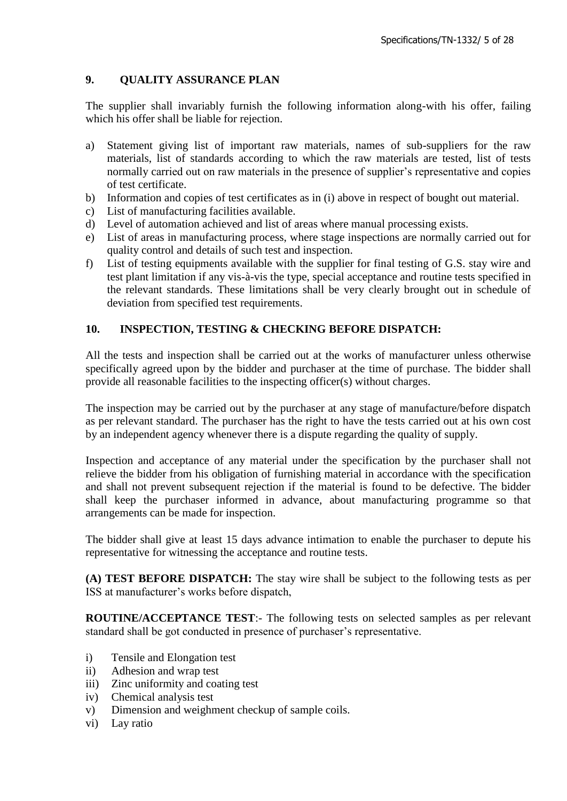# **9. QUALITY ASSURANCE PLAN**

The supplier shall invariably furnish the following information along-with his offer, failing which his offer shall be liable for rejection.

- a) Statement giving list of important raw materials, names of sub-suppliers for the raw materials, list of standards according to which the raw materials are tested, list of tests normally carried out on raw materials in the presence of supplier's representative and copies of test certificate.
- b) Information and copies of test certificates as in (i) above in respect of bought out material.
- c) List of manufacturing facilities available.
- d) Level of automation achieved and list of areas where manual processing exists.
- e) List of areas in manufacturing process, where stage inspections are normally carried out for quality control and details of such test and inspection.
- f) List of testing equipments available with the supplier for final testing of G.S. stay wire and test plant limitation if any vis-à-vis the type, special acceptance and routine tests specified in the relevant standards. These limitations shall be very clearly brought out in schedule of deviation from specified test requirements.

### **10. INSPECTION, TESTING & CHECKING BEFORE DISPATCH:**

All the tests and inspection shall be carried out at the works of manufacturer unless otherwise specifically agreed upon by the bidder and purchaser at the time of purchase. The bidder shall provide all reasonable facilities to the inspecting officer(s) without charges.

The inspection may be carried out by the purchaser at any stage of manufacture/before dispatch as per relevant standard. The purchaser has the right to have the tests carried out at his own cost by an independent agency whenever there is a dispute regarding the quality of supply.

Inspection and acceptance of any material under the specification by the purchaser shall not relieve the bidder from his obligation of furnishing material in accordance with the specification and shall not prevent subsequent rejection if the material is found to be defective. The bidder shall keep the purchaser informed in advance, about manufacturing programme so that arrangements can be made for inspection.

The bidder shall give at least 15 days advance intimation to enable the purchaser to depute his representative for witnessing the acceptance and routine tests.

**(A) TEST BEFORE DISPATCH:** The stay wire shall be subject to the following tests as per ISS at manufacturer"s works before dispatch,

**ROUTINE/ACCEPTANCE TEST**:- The following tests on selected samples as per relevant standard shall be got conducted in presence of purchaser's representative.

- i) Tensile and Elongation test
- ii) Adhesion and wrap test
- iii) Zinc uniformity and coating test
- iv) Chemical analysis test
- v) Dimension and weighment checkup of sample coils.
- vi) Lay ratio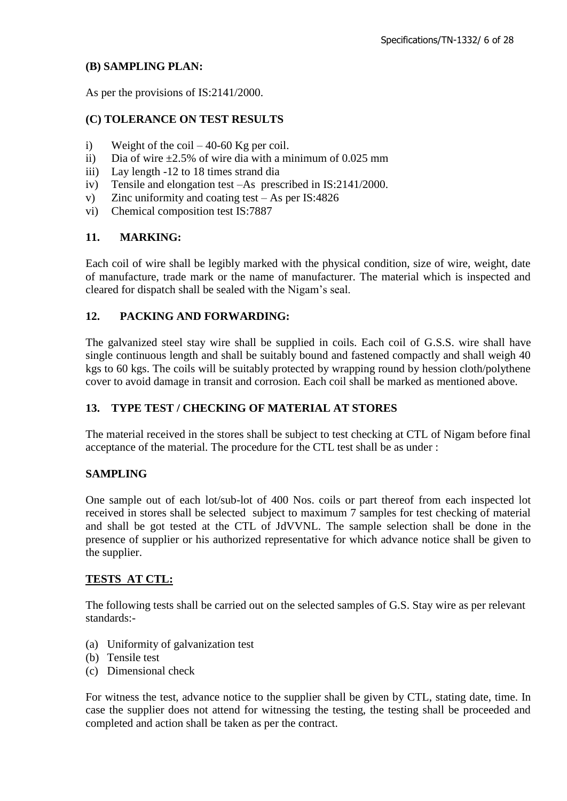### **(B) SAMPLING PLAN:**

As per the provisions of IS:2141/2000.

## **(C) TOLERANCE ON TEST RESULTS**

- i) Weight of the coil  $-40-60$  Kg per coil.
- ii) Dia of wire  $\pm 2.5\%$  of wire dia with a minimum of 0.025 mm
- iii) Lay length -12 to 18 times strand dia
- iv) Tensile and elongation test –As prescribed in IS:2141/2000.
- v) Zinc uniformity and coating test As per IS:4826
- vi) Chemical composition test IS:7887

### **11. MARKING:**

Each coil of wire shall be legibly marked with the physical condition, size of wire, weight, date of manufacture, trade mark or the name of manufacturer. The material which is inspected and cleared for dispatch shall be sealed with the Nigam"s seal.

### **12. PACKING AND FORWARDING:**

The galvanized steel stay wire shall be supplied in coils. Each coil of G.S.S. wire shall have single continuous length and shall be suitably bound and fastened compactly and shall weigh 40 kgs to 60 kgs. The coils will be suitably protected by wrapping round by hession cloth/polythene cover to avoid damage in transit and corrosion. Each coil shall be marked as mentioned above.

### **13. TYPE TEST / CHECKING OF MATERIAL AT STORES**

The material received in the stores shall be subject to test checking at CTL of Nigam before final acceptance of the material. The procedure for the CTL test shall be as under :

#### **SAMPLING**

One sample out of each lot/sub-lot of 400 Nos. coils or part thereof from each inspected lot received in stores shall be selected subject to maximum 7 samples for test checking of material and shall be got tested at the CTL of JdVVNL. The sample selection shall be done in the presence of supplier or his authorized representative for which advance notice shall be given to the supplier.

### **TESTS AT CTL:**

The following tests shall be carried out on the selected samples of G.S. Stay wire as per relevant standards:-

- (a) Uniformity of galvanization test
- (b) Tensile test
- (c) Dimensional check

For witness the test, advance notice to the supplier shall be given by CTL, stating date, time. In case the supplier does not attend for witnessing the testing, the testing shall be proceeded and completed and action shall be taken as per the contract.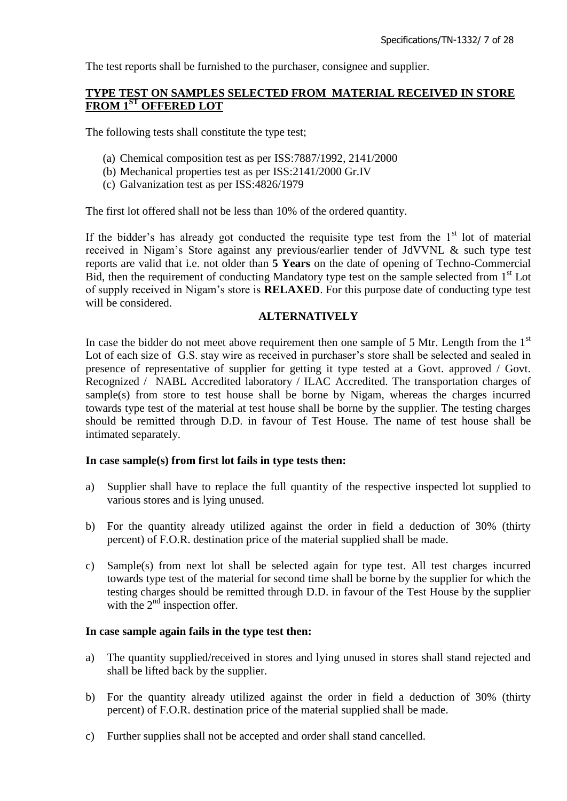The test reports shall be furnished to the purchaser, consignee and supplier.

#### **TYPE TEST ON SAMPLES SELECTED FROM MATERIAL RECEIVED IN STORE FROM 1ST OFFERED LOT**

The following tests shall constitute the type test;

- (a) Chemical composition test as per ISS:7887/1992, 2141/2000
- (b) Mechanical properties test as per ISS:2141/2000 Gr.IV
- (c) Galvanization test as per ISS:4826/1979

The first lot offered shall not be less than 10% of the ordered quantity.

If the bidder's has already got conducted the requisite type test from the  $1<sup>st</sup>$  lot of material received in Nigam"s Store against any previous/earlier tender of JdVVNL & such type test reports are valid that i.e. not older than **5 Years** on the date of opening of Techno-Commercial Bid, then the requirement of conducting Mandatory type test on the sample selected from 1<sup>st</sup> Lot of supply received in Nigam"s store is **RELAXED**. For this purpose date of conducting type test will be considered.

### **ALTERNATIVELY**

In case the bidder do not meet above requirement then one sample of 5 Mtr. Length from the  $1<sup>st</sup>$ Lot of each size of G.S. stay wire as received in purchaser's store shall be selected and sealed in presence of representative of supplier for getting it type tested at a Govt. approved / Govt. Recognized / NABL Accredited laboratory / ILAC Accredited. The transportation charges of sample(s) from store to test house shall be borne by Nigam, whereas the charges incurred towards type test of the material at test house shall be borne by the supplier. The testing charges should be remitted through D.D. in favour of Test House. The name of test house shall be intimated separately.

#### **In case sample(s) from first lot fails in type tests then:**

- a) Supplier shall have to replace the full quantity of the respective inspected lot supplied to various stores and is lying unused.
- b) For the quantity already utilized against the order in field a deduction of 30% (thirty percent) of F.O.R. destination price of the material supplied shall be made.
- c) Sample(s) from next lot shall be selected again for type test. All test charges incurred towards type test of the material for second time shall be borne by the supplier for which the testing charges should be remitted through D.D. in favour of the Test House by the supplier with the  $2<sup>nd</sup>$  inspection offer.

#### **In case sample again fails in the type test then:**

- a) The quantity supplied/received in stores and lying unused in stores shall stand rejected and shall be lifted back by the supplier.
- b) For the quantity already utilized against the order in field a deduction of 30% (thirty percent) of F.O.R. destination price of the material supplied shall be made.
- c) Further supplies shall not be accepted and order shall stand cancelled.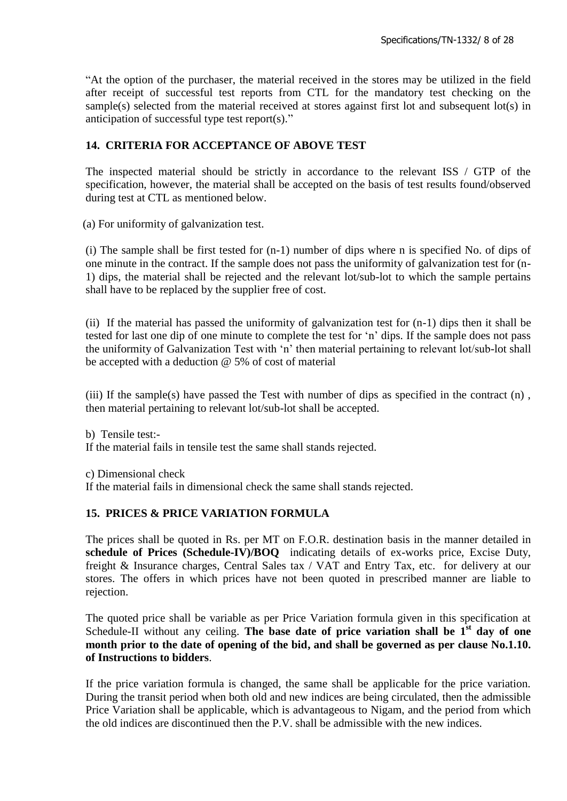"At the option of the purchaser, the material received in the stores may be utilized in the field after receipt of successful test reports from CTL for the mandatory test checking on the sample(s) selected from the material received at stores against first lot and subsequent lot(s) in anticipation of successful type test report(s)."

# **14. CRITERIA FOR ACCEPTANCE OF ABOVE TEST**

The inspected material should be strictly in accordance to the relevant ISS / GTP of the specification, however, the material shall be accepted on the basis of test results found/observed during test at CTL as mentioned below.

(a) For uniformity of galvanization test.

(i) The sample shall be first tested for (n-1) number of dips where n is specified No. of dips of one minute in the contract. If the sample does not pass the uniformity of galvanization test for (n-1) dips, the material shall be rejected and the relevant lot/sub-lot to which the sample pertains shall have to be replaced by the supplier free of cost.

(ii) If the material has passed the uniformity of galvanization test for (n-1) dips then it shall be tested for last one dip of one minute to complete the test for "n" dips. If the sample does not pass the uniformity of Galvanization Test with "n" then material pertaining to relevant lot/sub-lot shall be accepted with a deduction @ 5% of cost of material

(iii) If the sample(s) have passed the Test with number of dips as specified in the contract  $(n)$ , then material pertaining to relevant lot/sub-lot shall be accepted.

b) Tensile test:- If the material fails in tensile test the same shall stands rejected.

c) Dimensional check

If the material fails in dimensional check the same shall stands rejected.

### **15. PRICES & PRICE VARIATION FORMULA**

The prices shall be quoted in Rs. per MT on F.O.R. destination basis in the manner detailed in **schedule of Prices (Schedule-IV)/BOQ** indicating details of ex-works price, Excise Duty, freight & Insurance charges, Central Sales tax / VAT and Entry Tax, etc. for delivery at our stores. The offers in which prices have not been quoted in prescribed manner are liable to rejection.

The quoted price shall be variable as per Price Variation formula given in this specification at Schedule-II without any ceiling. The base date of price variation shall be 1<sup>st</sup> day of one **month prior to the date of opening of the bid, and shall be governed as per clause No.1.10. of Instructions to bidders**.

If the price variation formula is changed, the same shall be applicable for the price variation. During the transit period when both old and new indices are being circulated, then the admissible Price Variation shall be applicable, which is advantageous to Nigam, and the period from which the old indices are discontinued then the P.V. shall be admissible with the new indices.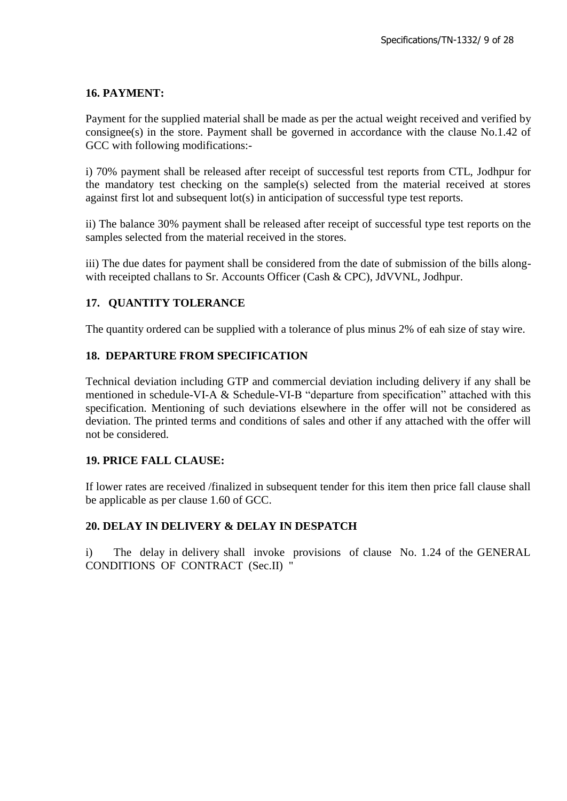### **16. PAYMENT:**

Payment for the supplied material shall be made as per the actual weight received and verified by consignee(s) in the store. Payment shall be governed in accordance with the clause No.1.42 of GCC with following modifications:-

i) 70% payment shall be released after receipt of successful test reports from CTL, Jodhpur for the mandatory test checking on the sample(s) selected from the material received at stores against first lot and subsequent lot(s) in anticipation of successful type test reports.

ii) The balance 30% payment shall be released after receipt of successful type test reports on the samples selected from the material received in the stores.

iii) The due dates for payment shall be considered from the date of submission of the bills alongwith receipted challans to Sr. Accounts Officer (Cash & CPC), JdVVNL, Jodhpur.

### **17. QUANTITY TOLERANCE**

The quantity ordered can be supplied with a tolerance of plus minus 2% of eah size of stay wire.

### **18. DEPARTURE FROM SPECIFICATION**

Technical deviation including GTP and commercial deviation including delivery if any shall be mentioned in schedule-VI-A & Schedule-VI-B "departure from specification" attached with this specification. Mentioning of such deviations elsewhere in the offer will not be considered as deviation. The printed terms and conditions of sales and other if any attached with the offer will not be considered.

#### **19. PRICE FALL CLAUSE:**

If lower rates are received /finalized in subsequent tender for this item then price fall clause shall be applicable as per clause 1.60 of GCC.

#### **20. DELAY IN DELIVERY & DELAY IN DESPATCH**

i) The delay in delivery shall invoke provisions of clause No. 1.24 of the GENERAL CONDITIONS OF CONTRACT (Sec.II) "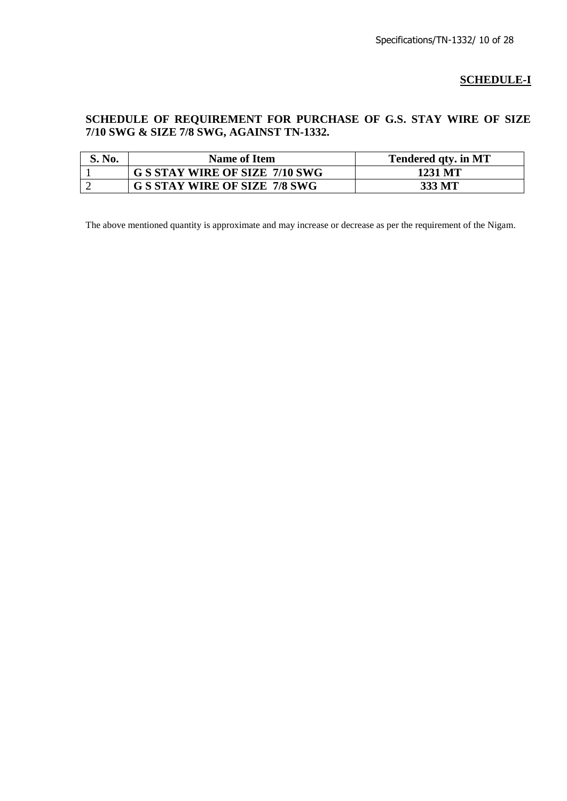# **SCHEDULE-I**

# **SCHEDULE OF REQUIREMENT FOR PURCHASE OF G.S. STAY WIRE OF SIZE 7/10 SWG & SIZE 7/8 SWG, AGAINST TN-1332.**

| S. No. | Name of Item                          | Tendered qty. in MT |
|--------|---------------------------------------|---------------------|
|        | <b>G S STAY WIRE OF SIZE 7/10 SWG</b> | 1231 MT             |
|        | <b>G S STAY WIRE OF SIZE 7/8 SWG</b>  | 333 MT              |

The above mentioned quantity is approximate and may increase or decrease as per the requirement of the Nigam.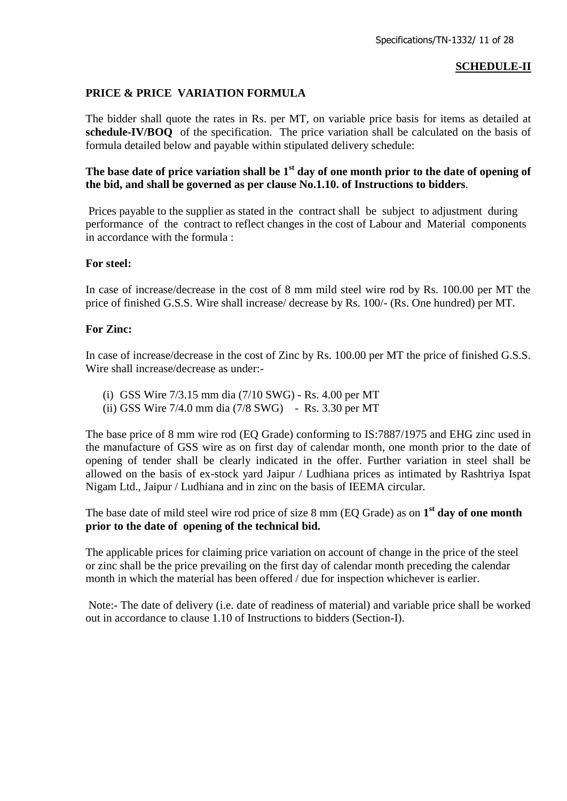#### **SCHEDULE-II**

#### **PRICE & PRICE VARIATION FORMULA**

The bidder shall quote the rates in Rs. per MT, on variable price basis for items as detailed at **schedule-IV/BOQ** of the specification. The price variation shall be calculated on the basis of formula detailed below and payable within stipulated delivery schedule:

### The base date of price variation shall be 1<sup>st</sup> day of one month prior to the date of opening of **the bid, and shall be governed as per clause No.1.10. of Instructions to bidders**.

Prices payable to the supplier as stated in the contract shall be subject to adjustment during performance of the contract to reflect changes in the cost of Labour and Material components in accordance with the formula :

#### **For steel:**

In case of increase/decrease in the cost of 8 mm mild steel wire rod by Rs. 100.00 per MT the price of finished G.S.S. Wire shall increase/ decrease by Rs. 100/- (Rs. One hundred) per MT.

#### **For Zinc:**

In case of increase/decrease in the cost of Zinc by Rs. 100.00 per MT the price of finished G.S.S. Wire shall increase/decrease as under:-

- (i) GSS Wire 7/3.15 mm dia (7/10 SWG) Rs. 4.00 per MT
- (ii) GSS Wire 7/4.0 mm dia (7/8 SWG) Rs. 3.30 per MT

The base price of 8 mm wire rod (EQ Grade) conforming to IS:7887/1975 and EHG zinc used in the manufacture of GSS wire as on first day of calendar month, one month prior to the date of opening of tender shall be clearly indicated in the offer. Further variation in steel shall be allowed on the basis of ex-stock yard Jaipur / Ludhiana prices as intimated by Rashtriya Ispat Nigam Ltd., Jaipur / Ludhiana and in zinc on the basis of IEEMA circular.

The base date of mild steel wire rod price of size 8 mm (EQ Grade) as on **1 st day of one month prior to the date of opening of the technical bid.**

The applicable prices for claiming price variation on account of change in the price of the steel or zinc shall be the price prevailing on the first day of calendar month preceding the calendar month in which the material has been offered / due for inspection whichever is earlier.

Note:- The date of delivery (i.e. date of readiness of material) and variable price shall be worked out in accordance to clause 1.10 of Instructions to bidders (Section-I).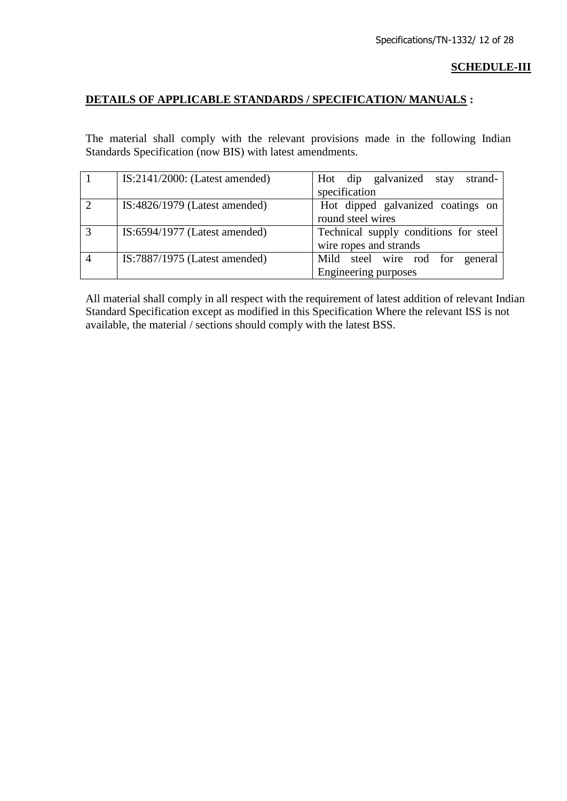#### **SCHEDULE-III**

#### **DETAILS OF APPLICABLE STANDARDS / SPECIFICATION/ MANUALS :**

The material shall comply with the relevant provisions made in the following Indian Standards Specification (now BIS) with latest amendments.

|                | $IS:2141/2000$ : (Latest amended) | Hot dip galvanized stay<br>strand-    |  |
|----------------|-----------------------------------|---------------------------------------|--|
|                |                                   | specification                         |  |
|                | $IS:4826/1979$ (Latest amended)   | Hot dipped galvanized coatings on     |  |
|                |                                   | round steel wires                     |  |
|                | $IS:6594/1977$ (Latest amended)   | Technical supply conditions for steel |  |
|                |                                   | wire ropes and strands                |  |
| $\overline{4}$ | $IS:7887/1975$ (Latest amended)   | Mild steel wire rod for general       |  |
|                |                                   | Engineering purposes                  |  |

All material shall comply in all respect with the requirement of latest addition of relevant Indian Standard Specification except as modified in this Specification Where the relevant ISS is not available, the material / sections should comply with the latest BSS.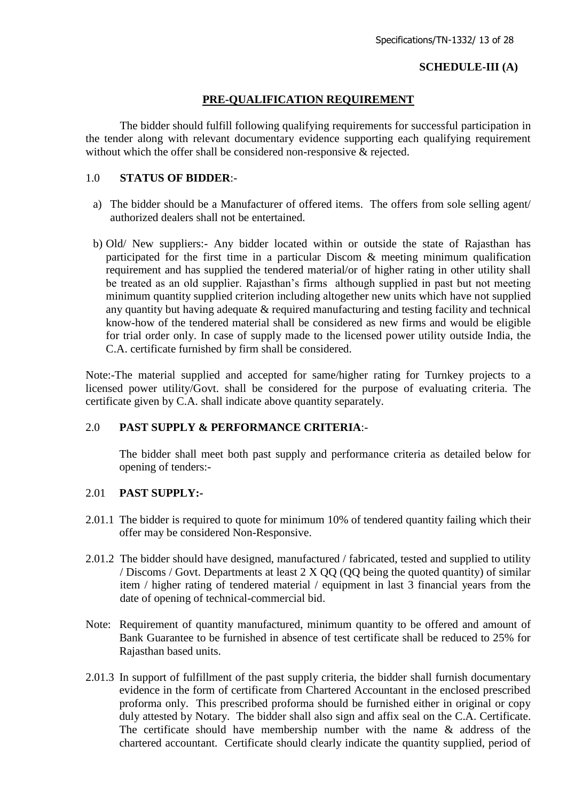### **SCHEDULE-III (A)**

#### **PRE-QUALIFICATION REQUIREMENT**

The bidder should fulfill following qualifying requirements for successful participation in the tender along with relevant documentary evidence supporting each qualifying requirement without which the offer shall be considered non-responsive & rejected.

#### 1.0 **STATUS OF BIDDER**:-

- a) The bidder should be a Manufacturer of offered items. The offers from sole selling agent/ authorized dealers shall not be entertained.
- b) Old/ New suppliers:- Any bidder located within or outside the state of Rajasthan has participated for the first time in a particular Discom & meeting minimum qualification requirement and has supplied the tendered material/or of higher rating in other utility shall be treated as an old supplier. Rajasthan"s firms although supplied in past but not meeting minimum quantity supplied criterion including altogether new units which have not supplied any quantity but having adequate & required manufacturing and testing facility and technical know-how of the tendered material shall be considered as new firms and would be eligible for trial order only. In case of supply made to the licensed power utility outside India, the C.A. certificate furnished by firm shall be considered.

Note:-The material supplied and accepted for same/higher rating for Turnkey projects to a licensed power utility/Govt. shall be considered for the purpose of evaluating criteria. The certificate given by C.A. shall indicate above quantity separately.

#### 2.0 **PAST SUPPLY & PERFORMANCE CRITERIA**:-

The bidder shall meet both past supply and performance criteria as detailed below for opening of tenders:-

#### 2.01 **PAST SUPPLY:-**

- 2.01.1 The bidder is required to quote for minimum 10% of tendered quantity failing which their offer may be considered Non-Responsive.
- 2.01.2 The bidder should have designed, manufactured / fabricated, tested and supplied to utility / Discoms / Govt. Departments at least 2 X QQ (QQ being the quoted quantity) of similar item / higher rating of tendered material / equipment in last 3 financial years from the date of opening of technical-commercial bid.
- Note: Requirement of quantity manufactured, minimum quantity to be offered and amount of Bank Guarantee to be furnished in absence of test certificate shall be reduced to 25% for Rajasthan based units.
- 2.01.3 In support of fulfillment of the past supply criteria, the bidder shall furnish documentary evidence in the form of certificate from Chartered Accountant in the enclosed prescribed proforma only. This prescribed proforma should be furnished either in original or copy duly attested by Notary. The bidder shall also sign and affix seal on the C.A. Certificate. The certificate should have membership number with the name & address of the chartered accountant. Certificate should clearly indicate the quantity supplied, period of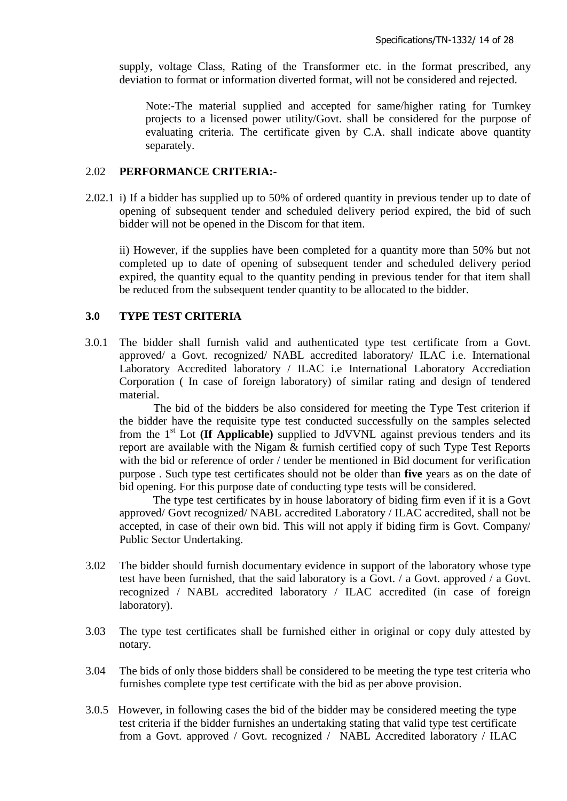supply, voltage Class, Rating of the Transformer etc. in the format prescribed, any deviation to format or information diverted format, will not be considered and rejected.

Note:-The material supplied and accepted for same/higher rating for Turnkey projects to a licensed power utility/Govt. shall be considered for the purpose of evaluating criteria. The certificate given by C.A. shall indicate above quantity separately.

#### 2.02 **PERFORMANCE CRITERIA:-**

2.02.1 i) If a bidder has supplied up to 50% of ordered quantity in previous tender up to date of opening of subsequent tender and scheduled delivery period expired, the bid of such bidder will not be opened in the Discom for that item.

ii) However, if the supplies have been completed for a quantity more than 50% but not completed up to date of opening of subsequent tender and scheduled delivery period expired, the quantity equal to the quantity pending in previous tender for that item shall be reduced from the subsequent tender quantity to be allocated to the bidder.

#### **3.0 TYPE TEST CRITERIA**

3.0.1 The bidder shall furnish valid and authenticated type test certificate from a Govt. approved/ a Govt. recognized/ NABL accredited laboratory/ ILAC i.e. International Laboratory Accredited laboratory / ILAC i.e International Laboratory Accrediation Corporation ( In case of foreign laboratory) of similar rating and design of tendered material.

The bid of the bidders be also considered for meeting the Type Test criterion if the bidder have the requisite type test conducted successfully on the samples selected from the 1st Lot **(If Applicable)** supplied to JdVVNL against previous tenders and its report are available with the Nigam & furnish certified copy of such Type Test Reports with the bid or reference of order / tender be mentioned in Bid document for verification purpose . Such type test certificates should not be older than **five** years as on the date of bid opening. For this purpose date of conducting type tests will be considered.

The type test certificates by in house laboratory of biding firm even if it is a Govt approved/ Govt recognized/ NABL accredited Laboratory / ILAC accredited, shall not be accepted, in case of their own bid. This will not apply if biding firm is Govt. Company/ Public Sector Undertaking.

- 3.02 The bidder should furnish documentary evidence in support of the laboratory whose type test have been furnished, that the said laboratory is a Govt. / a Govt. approved / a Govt. recognized / NABL accredited laboratory / ILAC accredited (in case of foreign laboratory).
- 3.03 The type test certificates shall be furnished either in original or copy duly attested by notary.
- 3.04 The bids of only those bidders shall be considered to be meeting the type test criteria who furnishes complete type test certificate with the bid as per above provision.
- 3.0.5 However, in following cases the bid of the bidder may be considered meeting the type test criteria if the bidder furnishes an undertaking stating that valid type test certificate from a Govt. approved / Govt. recognized / NABL Accredited laboratory / ILAC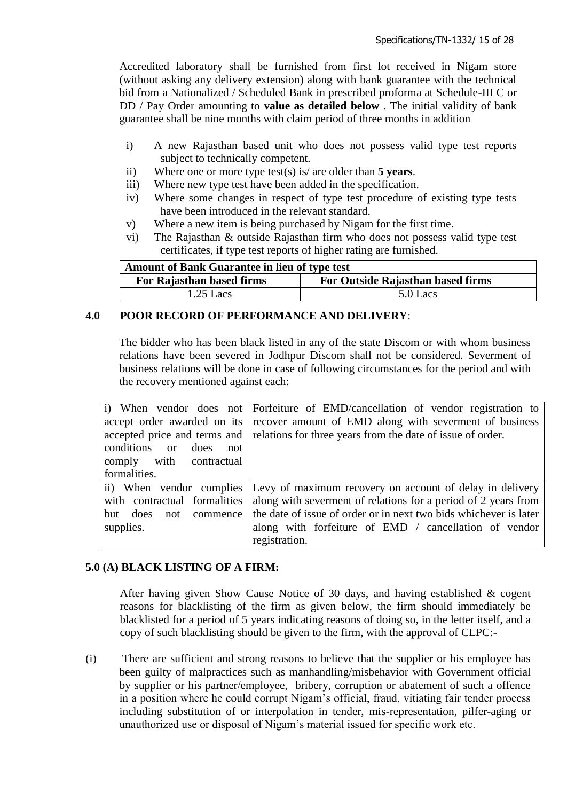Accredited laboratory shall be furnished from first lot received in Nigam store (without asking any delivery extension) along with bank guarantee with the technical bid from a Nationalized / Scheduled Bank in prescribed proforma at Schedule-III C or DD / Pay Order amounting to **value as detailed below** . The initial validity of bank guarantee shall be nine months with claim period of three months in addition

- i) A new Rajasthan based unit who does not possess valid type test reports subject to technically competent.
- ii) Where one or more type test(s) is/ are older than **5 years**.
- iii) Where new type test have been added in the specification.
- iv) Where some changes in respect of type test procedure of existing type tests have been introduced in the relevant standard.
- v) Where a new item is being purchased by Nigam for the first time.
- vi) The Rajasthan & outside Rajasthan firm who does not possess valid type test certificates, if type test reports of higher rating are furnished.

| <b>Amount of Bank Guarantee in lieu of type test</b>           |          |  |
|----------------------------------------------------------------|----------|--|
| For Outside Rajasthan based firms<br>For Rajasthan based firms |          |  |
| $1.25$ Lacs                                                    | 5.0 Lacs |  |

# **4.0 POOR RECORD OF PERFORMANCE AND DELIVERY**:

The bidder who has been black listed in any of the state Discom or with whom business relations have been severed in Jodhpur Discom shall not be considered. Severment of business relations will be done in case of following circumstances for the period and with the recovery mentioned against each:

|                                       | i) When vendor does not Forfeiture of EMD/cancellation of vendor registration to        |
|---------------------------------------|-----------------------------------------------------------------------------------------|
|                                       | accept order awarded on its recover amount of EMD along with severment of business      |
|                                       | accepted price and terms and relations for three years from the date of issue of order. |
| conditions<br>does<br>$\alpha$<br>not |                                                                                         |
| comply with contractual               |                                                                                         |
| formalities.                          |                                                                                         |
|                                       | ii) When vendor complies Levy of maximum recovery on account of delay in delivery       |
| with contractual formalities          | along with severment of relations for a period of 2 years from                          |
| commence  <br>but does<br>not         | the date of issue of order or in next two bids whichever is later                       |
| supplies.                             | along with forfeiture of EMD / cancellation of vendor                                   |
|                                       | registration.                                                                           |

### **5.0 (A) BLACK LISTING OF A FIRM:**

After having given Show Cause Notice of 30 days, and having established & cogent reasons for blacklisting of the firm as given below, the firm should immediately be blacklisted for a period of 5 years indicating reasons of doing so, in the letter itself, and a copy of such blacklisting should be given to the firm, with the approval of CLPC:-

(i) There are sufficient and strong reasons to believe that the supplier or his employee has been guilty of malpractices such as manhandling/misbehavior with Government official by supplier or his partner/employee, bribery, corruption or abatement of such a offence in a position where he could corrupt Nigam"s official, fraud, vitiating fair tender process including substitution of or interpolation in tender, mis-representation, pilfer-aging or unauthorized use or disposal of Nigam"s material issued for specific work etc.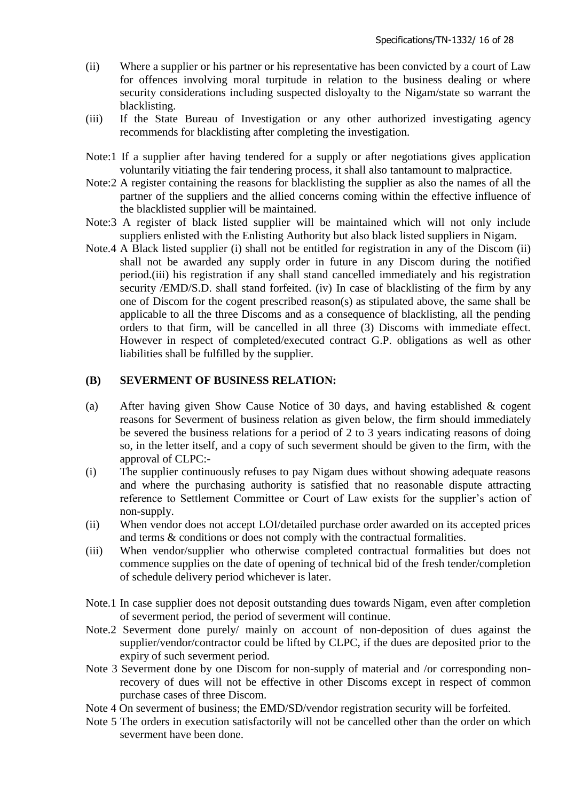- (ii) Where a supplier or his partner or his representative has been convicted by a court of Law for offences involving moral turpitude in relation to the business dealing or where security considerations including suspected disloyalty to the Nigam/state so warrant the blacklisting.
- (iii) If the State Bureau of Investigation or any other authorized investigating agency recommends for blacklisting after completing the investigation.
- Note:1 If a supplier after having tendered for a supply or after negotiations gives application voluntarily vitiating the fair tendering process, it shall also tantamount to malpractice.
- Note:2 A register containing the reasons for blacklisting the supplier as also the names of all the partner of the suppliers and the allied concerns coming within the effective influence of the blacklisted supplier will be maintained.
- Note:3 A register of black listed supplier will be maintained which will not only include suppliers enlisted with the Enlisting Authority but also black listed suppliers in Nigam.
- Note.4 A Black listed supplier (i) shall not be entitled for registration in any of the Discom (ii) shall not be awarded any supply order in future in any Discom during the notified period.(iii) his registration if any shall stand cancelled immediately and his registration security /EMD/S.D. shall stand forfeited. (iv) In case of blacklisting of the firm by any one of Discom for the cogent prescribed reason(s) as stipulated above, the same shall be applicable to all the three Discoms and as a consequence of blacklisting, all the pending orders to that firm, will be cancelled in all three (3) Discoms with immediate effect. However in respect of completed/executed contract G.P. obligations as well as other liabilities shall be fulfilled by the supplier.

#### **(B) SEVERMENT OF BUSINESS RELATION:**

- (a) After having given Show Cause Notice of 30 days, and having established & cogent reasons for Severment of business relation as given below, the firm should immediately be severed the business relations for a period of 2 to 3 years indicating reasons of doing so, in the letter itself, and a copy of such severment should be given to the firm, with the approval of CLPC:-
- (i) The supplier continuously refuses to pay Nigam dues without showing adequate reasons and where the purchasing authority is satisfied that no reasonable dispute attracting reference to Settlement Committee or Court of Law exists for the supplier"s action of non-supply.
- (ii) When vendor does not accept LOI/detailed purchase order awarded on its accepted prices and terms & conditions or does not comply with the contractual formalities.
- (iii) When vendor/supplier who otherwise completed contractual formalities but does not commence supplies on the date of opening of technical bid of the fresh tender/completion of schedule delivery period whichever is later.
- Note.1 In case supplier does not deposit outstanding dues towards Nigam, even after completion of severment period, the period of severment will continue.
- Note.2 Severment done purely/ mainly on account of non-deposition of dues against the supplier/vendor/contractor could be lifted by CLPC, if the dues are deposited prior to the expiry of such severment period.
- Note 3 Severment done by one Discom for non-supply of material and /or corresponding nonrecovery of dues will not be effective in other Discoms except in respect of common purchase cases of three Discom.
- Note 4 On severment of business; the EMD/SD/vendor registration security will be forfeited.
- Note 5 The orders in execution satisfactorily will not be cancelled other than the order on which severment have been done.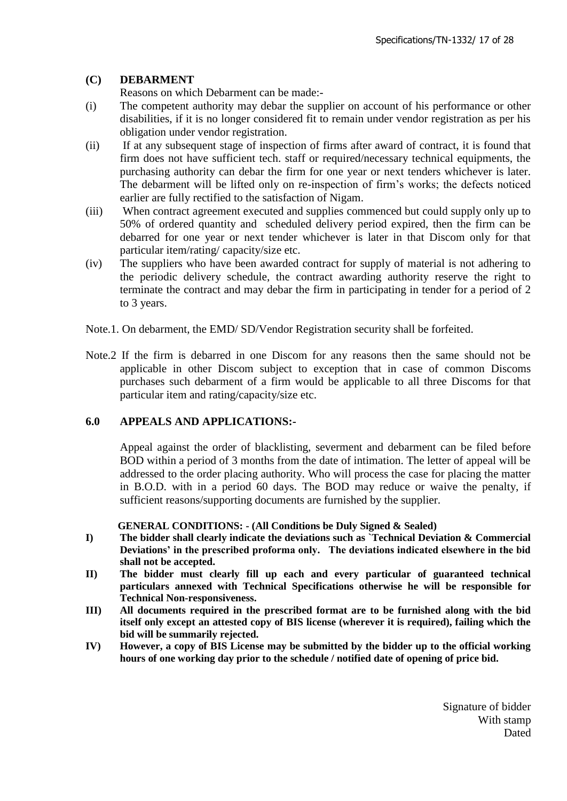### **(C) DEBARMENT**

Reasons on which Debarment can be made:-

- (i) The competent authority may debar the supplier on account of his performance or other disabilities, if it is no longer considered fit to remain under vendor registration as per his obligation under vendor registration.
- (ii) If at any subsequent stage of inspection of firms after award of contract, it is found that firm does not have sufficient tech. staff or required/necessary technical equipments, the purchasing authority can debar the firm for one year or next tenders whichever is later. The debarment will be lifted only on re-inspection of firm"s works; the defects noticed earlier are fully rectified to the satisfaction of Nigam.
- (iii) When contract agreement executed and supplies commenced but could supply only up to 50% of ordered quantity and scheduled delivery period expired, then the firm can be debarred for one year or next tender whichever is later in that Discom only for that particular item/rating/ capacity/size etc.
- (iv) The suppliers who have been awarded contract for supply of material is not adhering to the periodic delivery schedule, the contract awarding authority reserve the right to terminate the contract and may debar the firm in participating in tender for a period of 2 to 3 years.
- Note.1. On debarment, the EMD/ SD/Vendor Registration security shall be forfeited.
- Note.2 If the firm is debarred in one Discom for any reasons then the same should not be applicable in other Discom subject to exception that in case of common Discoms purchases such debarment of a firm would be applicable to all three Discoms for that particular item and rating/capacity/size etc.

### **6.0 APPEALS AND APPLICATIONS:-**

Appeal against the order of blacklisting, severment and debarment can be filed before BOD within a period of 3 months from the date of intimation. The letter of appeal will be addressed to the order placing authority. Who will process the case for placing the matter in B.O.D. with in a period 60 days. The BOD may reduce or waive the penalty, if sufficient reasons/supporting documents are furnished by the supplier.

#### **GENERAL CONDITIONS: - (All Conditions be Duly Signed & Sealed)**

- **I) The bidder shall clearly indicate the deviations such as `Technical Deviation & Commercial Deviations' in the prescribed proforma only. The deviations indicated elsewhere in the bid shall not be accepted.**
- **II) The bidder must clearly fill up each and every particular of guaranteed technical particulars annexed with Technical Specifications otherwise he will be responsible for Technical Non-responsiveness.**
- **III) All documents required in the prescribed format are to be furnished along with the bid itself only except an attested copy of BIS license (wherever it is required), failing which the bid will be summarily rejected.**
- **IV) However, a copy of BIS License may be submitted by the bidder up to the official working hours of one working day prior to the schedule / notified date of opening of price bid.**

Signature of bidder With stamp Dated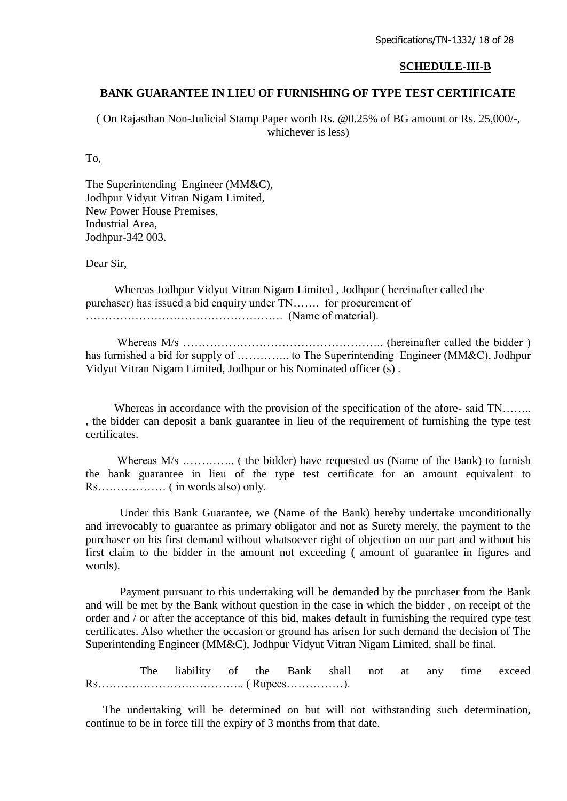#### **SCHEDULE-III-B**

#### **BANK GUARANTEE IN LIEU OF FURNISHING OF TYPE TEST CERTIFICATE**

( On Rajasthan Non-Judicial Stamp Paper worth [Rs. @0.25%](mailto:Rs.@0.25%25) of BG amount or Rs. 25,000/-, whichever is less)

To,

The Superintending Engineer (MM&C), Jodhpur Vidyut Vitran Nigam Limited, New Power House Premises, Industrial Area, Jodhpur-342 003.

Dear Sir,

 Whereas Jodhpur Vidyut Vitran Nigam Limited , Jodhpur ( hereinafter called the purchaser) has issued a bid enquiry under TN……. for procurement of ……………………………………………. (Name of material).

 Whereas M/s …………………………………………….. (hereinafter called the bidder ) has furnished a bid for supply of ................ to The Superintending Engineer (MM&C), Jodhpur Vidyut Vitran Nigam Limited, Jodhpur or his Nominated officer (s) .

Whereas in accordance with the provision of the specification of the afore- said TN….... , the bidder can deposit a bank guarantee in lieu of the requirement of furnishing the type test certificates.

 Whereas M/s ………….. ( the bidder) have requested us (Name of the Bank) to furnish the bank guarantee in lieu of the type test certificate for an amount equivalent to Rs……………… ( in words also) only.

 Under this Bank Guarantee, we (Name of the Bank) hereby undertake unconditionally and irrevocably to guarantee as primary obligator and not as Surety merely, the payment to the purchaser on his first demand without whatsoever right of objection on our part and without his first claim to the bidder in the amount not exceeding ( amount of guarantee in figures and words).

 Payment pursuant to this undertaking will be demanded by the purchaser from the Bank and will be met by the Bank without question in the case in which the bidder , on receipt of the order and / or after the acceptance of this bid, makes default in furnishing the required type test certificates. Also whether the occasion or ground has arisen for such demand the decision of The Superintending Engineer (MM&C), Jodhpur Vidyut Vitran Nigam Limited, shall be final.

 The liability of the Bank shall not at any time exceed Rs…………………….………….. ( Rupees……………).

 The undertaking will be determined on but will not withstanding such determination, continue to be in force till the expiry of 3 months from that date.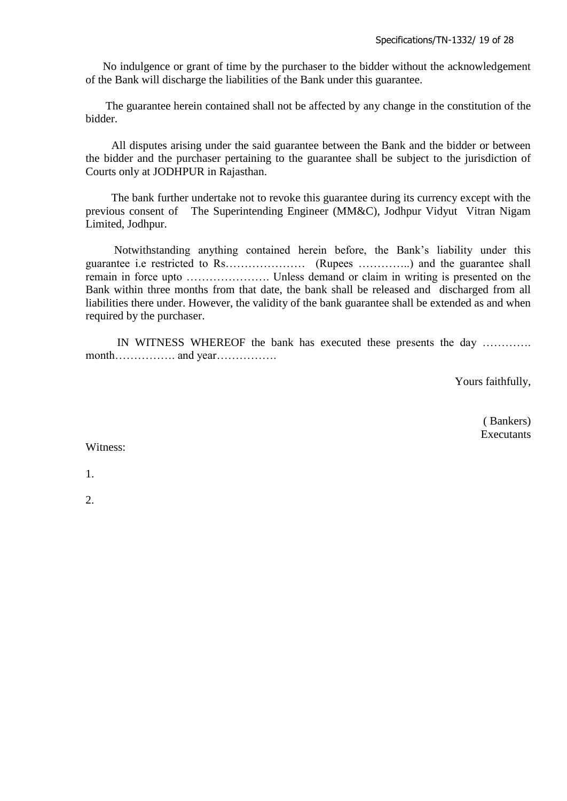No indulgence or grant of time by the purchaser to the bidder without the acknowledgement of the Bank will discharge the liabilities of the Bank under this guarantee.

 The guarantee herein contained shall not be affected by any change in the constitution of the bidder.

 All disputes arising under the said guarantee between the Bank and the bidder or between the bidder and the purchaser pertaining to the guarantee shall be subject to the jurisdiction of Courts only at JODHPUR in Rajasthan.

 The bank further undertake not to revoke this guarantee during its currency except with the previous consent of The Superintending Engineer (MM&C), Jodhpur Vidyut Vitran Nigam Limited, Jodhpur.

 Notwithstanding anything contained herein before, the Bank"s liability under this guarantee i.e restricted to Rs………………… (Rupees …………..) and the guarantee shall remain in force upto …………………. Unless demand or claim in writing is presented on the Bank within three months from that date, the bank shall be released and discharged from all liabilities there under. However, the validity of the bank guarantee shall be extended as and when required by the purchaser.

 IN WITNESS WHEREOF the bank has executed these presents the day …………. month……………. and year…………….

Yours faithfully,

 ( Bankers) **Executants** 

Witness:

1.

2.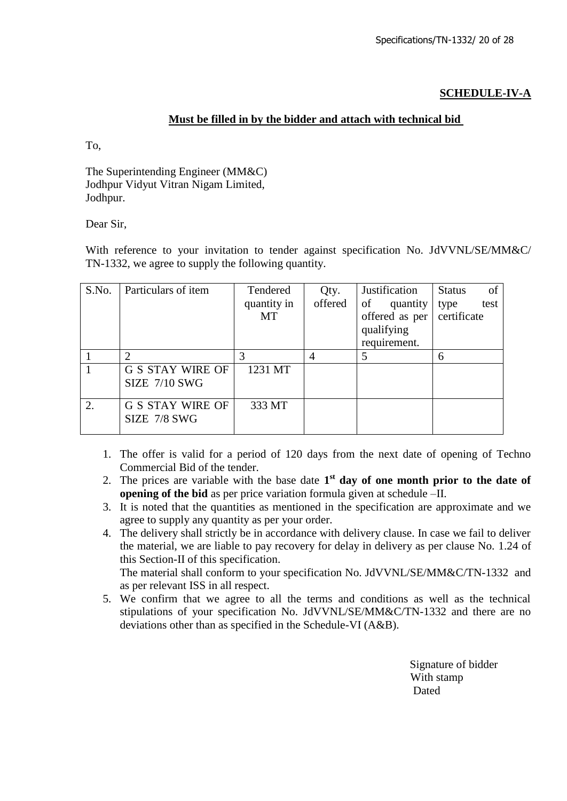### **SCHEDULE-IV-A**

### **Must be filled in by the bidder and attach with technical bid**

To,

The Superintending Engineer (MM&C) Jodhpur Vidyut Vitran Nigam Limited, Jodhpur.

Dear Sir,

With reference to your invitation to tender against specification No. JdVVNL/SE/MM&C/ TN-1332, we agree to supply the following quantity.

| S.No. | Particulars of item                             | Tendered<br>quantity in<br>MT | Qty.<br>offered | Justification<br>of<br>quantity<br>offered as per<br>qualifying<br>requirement. | <b>Status</b><br>of<br>test<br>type<br>certificate |
|-------|-------------------------------------------------|-------------------------------|-----------------|---------------------------------------------------------------------------------|----------------------------------------------------|
|       |                                                 | 3                             | $\overline{4}$  |                                                                                 | 6                                                  |
|       | <b>G S STAY WIRE OF</b><br><b>SIZE 7/10 SWG</b> | 1231 MT                       |                 |                                                                                 |                                                    |
| 2.    | <b>G S STAY WIRE OF</b><br>SIZE 7/8 SWG         | 333 MT                        |                 |                                                                                 |                                                    |

- 1. The offer is valid for a period of 120 days from the next date of opening of Techno Commercial Bid of the tender.
- 2. The prices are variable with the base date  $1<sup>st</sup>$  day of one month prior to the date of **opening of the bid** as per price variation formula given at schedule –II.
- 3. It is noted that the quantities as mentioned in the specification are approximate and we agree to supply any quantity as per your order.
- 4. The delivery shall strictly be in accordance with delivery clause. In case we fail to deliver the material, we are liable to pay recovery for delay in delivery as per clause No. 1.24 of this Section-II of this specification. The material shall conform to your specification No. JdVVNL/SE/MM&C/TN-1332 and as per relevant ISS in all respect.
- 5. We confirm that we agree to all the terms and conditions as well as the technical stipulations of your specification No. JdVVNL/SE/MM&C/TN-1332 and there are no deviations other than as specified in the Schedule-VI (A&B).

 Signature of bidder With stamp **Dated** Dated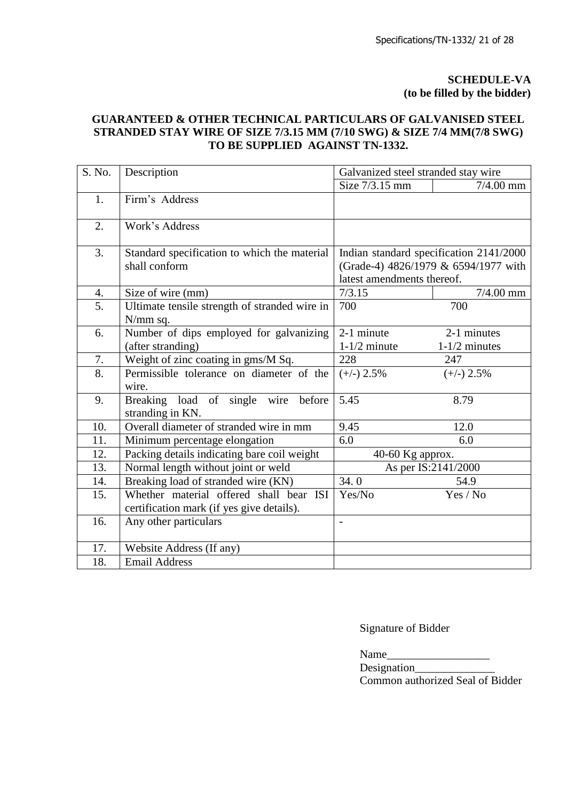### **SCHEDULE-VA (to be filled by the bidder)**

### **GUARANTEED & OTHER TECHNICAL PARTICULARS OF GALVANISED STEEL STRANDED STAY WIRE OF SIZE 7/3.15 MM (7/10 SWG) & SIZE 7/4 MM(7/8 SWG) TO BE SUPPLIED AGAINST TN-1332.**

| S. No. | Description                                                | Galvanized steel stranded stay wire |                                         |
|--------|------------------------------------------------------------|-------------------------------------|-----------------------------------------|
|        |                                                            | Size 7/3.15 mm                      | $7/4.00$ mm                             |
| 1.     | Firm's Address                                             |                                     |                                         |
| 2.     | Work's Address                                             |                                     |                                         |
| 3.     | Standard specification to which the material               |                                     | Indian standard specification 2141/2000 |
|        | shall conform                                              | latest amendments thereof.          | (Grade-4) 4826/1979 & 6594/1977 with    |
| 4.     | Size of wire (mm)                                          | 7/3.15                              | $7/4.00$ mm                             |
| 5.     | Ultimate tensile strength of stranded wire in<br>N/mm sq.  | 700                                 | 700                                     |
| 6.     | Number of dips employed for galvanizing                    | 2-1 minute                          | 2-1 minutes                             |
|        | (after stranding)                                          | $1-1/2$ minute                      | $1-1/2$ minutes                         |
| 7.     | Weight of zinc coating in gms/M Sq.                        | 228                                 | 247                                     |
| 8.     | Permissible tolerance on diameter of the<br>wire.          | $(+/-)$ 2.5%                        | $(+/-)$ 2.5%                            |
| 9.     | Breaking load of single wire<br>before<br>stranding in KN. | 5.45                                | 8.79                                    |
| 10.    | Overall diameter of stranded wire in mm                    | 9.45                                | 12.0                                    |
| 11.    | Minimum percentage elongation                              | 6.0                                 | 6.0                                     |
| 12.    | Packing details indicating bare coil weight                | 40-60 Kg approx.                    |                                         |
| 13.    | Normal length without joint or weld                        |                                     | As per IS:2141/2000                     |
| 14.    | Breaking load of stranded wire (KN)                        | 34.0                                | 54.9                                    |
| 15.    | Whether material offered shall bear ISI                    | Yes/No                              | Yes / No                                |
|        | certification mark (if yes give details).                  |                                     |                                         |
| 16.    | Any other particulars                                      | $\overline{a}$                      |                                         |
| 17.    | Website Address (If any)                                   |                                     |                                         |
| 18.    | <b>Email Address</b>                                       |                                     |                                         |

Signature of Bidder

Name\_\_\_\_\_\_\_\_\_\_\_\_\_\_\_\_\_\_

Designation\_\_\_\_\_\_\_\_\_\_\_\_\_\_ Common authorized Seal of Bidder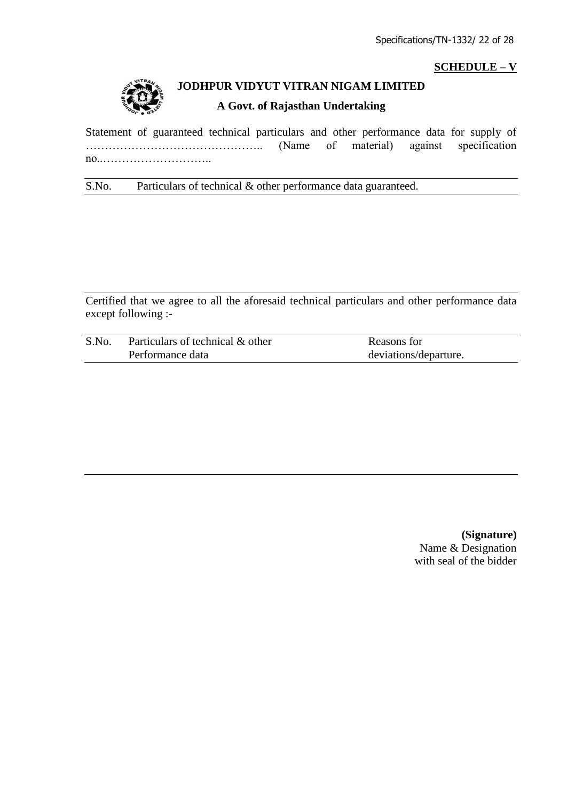## **SCHEDULE – V**



# **JODHPUR VIDYUT VITRAN NIGAM LIMITED**

#### **A Govt. of Rajasthan Undertaking**

Statement of guaranteed technical particulars and other performance data for supply of ……………………………………….. (Name of material) against specification no..………………………..

## S.No. Particulars of technical & other performance data guaranteed.

Certified that we agree to all the aforesaid technical particulars and other performance data except following :-

| S.No. | Particulars of technical & other | Reasons for           |
|-------|----------------------------------|-----------------------|
|       | Performance data                 | deviations/departure. |

**(Signature)** Name & Designation with seal of the bidder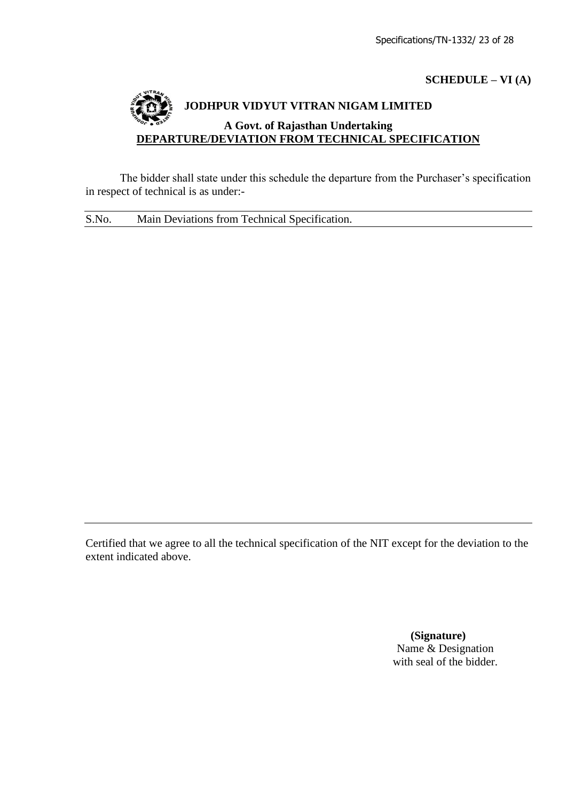### **SCHEDULE – VI (A)**

# **JODHPUR VIDYUT VITRAN NIGAM LIMITED A Govt. of Rajasthan Undertaking DEPARTURE/DEVIATION FROM TECHNICAL SPECIFICATION**

The bidder shall state under this schedule the departure from the Purchaser's specification in respect of technical is as under:-

S.No. Main Deviations from Technical Specification.

Certified that we agree to all the technical specification of the NIT except for the deviation to the extent indicated above.

> **(Signature)** Name & Designation with seal of the bidder.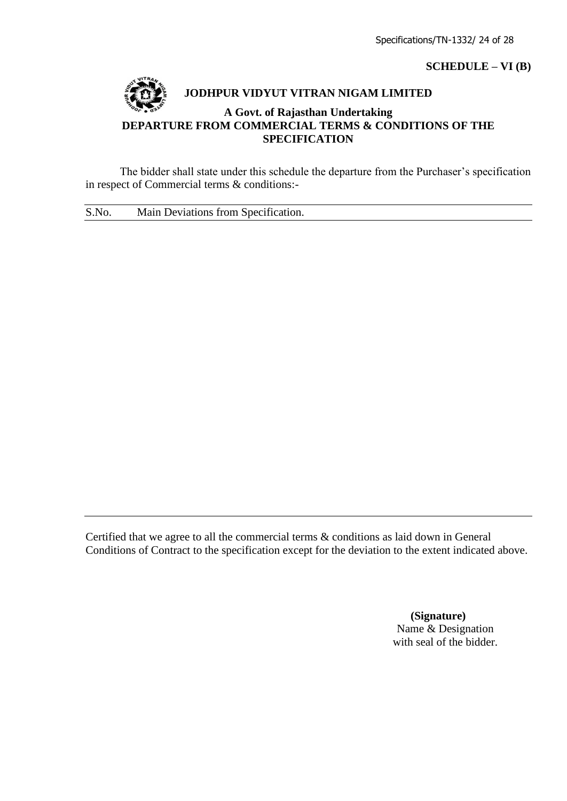### **SCHEDULE – VI (B)**



### **JODHPUR VIDYUT VITRAN NIGAM LIMITED**

### **A Govt. of Rajasthan Undertaking DEPARTURE FROM COMMERCIAL TERMS & CONDITIONS OF THE SPECIFICATION**

The bidder shall state under this schedule the departure from the Purchaser's specification in respect of Commercial terms & conditions:-

S.No. Main Deviations from Specification.

Certified that we agree to all the commercial terms & conditions as laid down in General Conditions of Contract to the specification except for the deviation to the extent indicated above.

> **(Signature)** Name & Designation with seal of the bidder.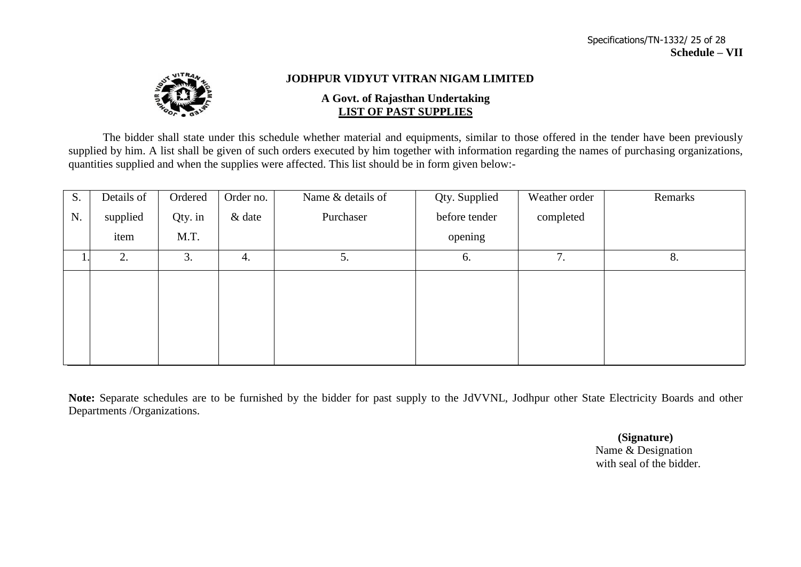

### **JODHPUR VIDYUT VITRAN NIGAM LIMITED**

#### **A Govt. of Rajasthan Undertaking LIST OF PAST SUPPLIES**

The bidder shall state under this schedule whether material and equipments, similar to those offered in the tender have been previously supplied by him. A list shall be given of such orders executed by him together with information regarding the names of purchasing organizations, quantities supplied and when the supplies were affected. This list should be in form given below:-

| S. | Details of | Ordered | Order no. | Name & details of | Qty. Supplied | Weather order | Remarks |
|----|------------|---------|-----------|-------------------|---------------|---------------|---------|
| N. | supplied   | Qty. in | $&$ date  | Purchaser         | before tender | completed     |         |
|    | item       | M.T.    |           |                   | opening       |               |         |
|    | 2.         | 3.      | 4.        | 5.                | 6.            | 7.            | 8.      |
|    |            |         |           |                   |               |               |         |
|    |            |         |           |                   |               |               |         |
|    |            |         |           |                   |               |               |         |
|    |            |         |           |                   |               |               |         |
|    |            |         |           |                   |               |               |         |

**Note:** Separate schedules are to be furnished by the bidder for past supply to the JdVVNL, Jodhpur other State Electricity Boards and other Departments /Organizations.

> **(Signature)** Name & Designation with seal of the bidder.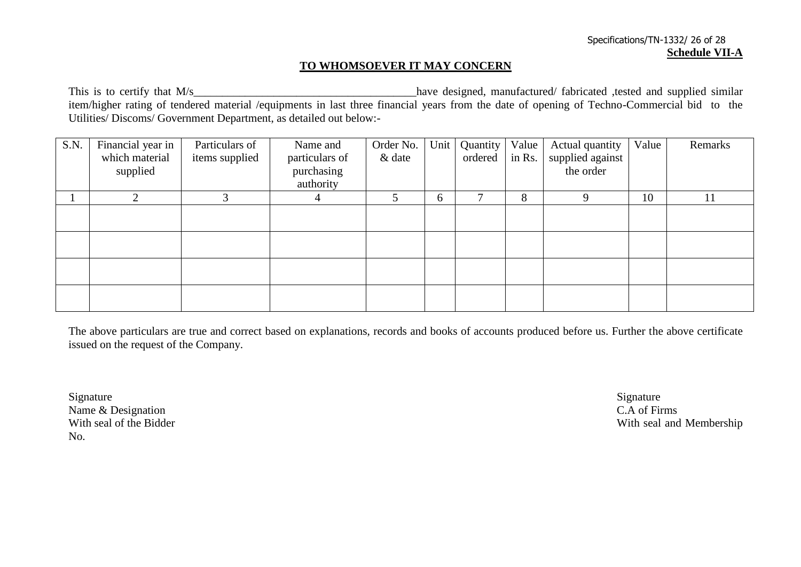### **TO WHOMSOEVER IT MAY CONCERN**

This is to certify that M/s\_\_\_\_\_\_\_\_\_\_\_\_\_\_\_\_\_\_\_\_\_\_\_\_\_\_\_\_\_\_\_\_\_\_\_\_\_\_\_have designed, manufactured/ fabricated ,tested and supplied similar item/higher rating of tendered material /equipments in last three financial years from the date of opening of Techno-Commercial bid to the Utilities/ Discoms/ Government Department, as detailed out below:-

| S.N. | Financial year in<br>which material | Particulars of | Name and                | Order No.<br>& date | Unit | Quantity<br>ordered | Value<br>in Rs. | Actual quantity<br>supplied against | Value | Remarks |
|------|-------------------------------------|----------------|-------------------------|---------------------|------|---------------------|-----------------|-------------------------------------|-------|---------|
|      |                                     | items supplied | particulars of          |                     |      |                     |                 | the order                           |       |         |
|      | supplied                            |                | purchasing<br>authority |                     |      |                     |                 |                                     |       |         |
|      |                                     |                |                         |                     |      |                     |                 |                                     |       |         |
|      | $\bigcap$                           | 3              |                         | 5                   | 6    | 7                   | 8               | 9                                   | 10    | 11      |
|      |                                     |                |                         |                     |      |                     |                 |                                     |       |         |
|      |                                     |                |                         |                     |      |                     |                 |                                     |       |         |
|      |                                     |                |                         |                     |      |                     |                 |                                     |       |         |
|      |                                     |                |                         |                     |      |                     |                 |                                     |       |         |
|      |                                     |                |                         |                     |      |                     |                 |                                     |       |         |
|      |                                     |                |                         |                     |      |                     |                 |                                     |       |         |
|      |                                     |                |                         |                     |      |                     |                 |                                     |       |         |
|      |                                     |                |                         |                     |      |                     |                 |                                     |       |         |

The above particulars are true and correct based on explanations, records and books of accounts produced before us. Further the above certificate issued on the request of the Company.

Signature Signature Signature Signature Signature Signature Signature Signature Signature Signature Signature Name & Designation C.A of Firms<br>
With seal of the Bidder<br>
With seal of the Bidder No.

With seal and Membership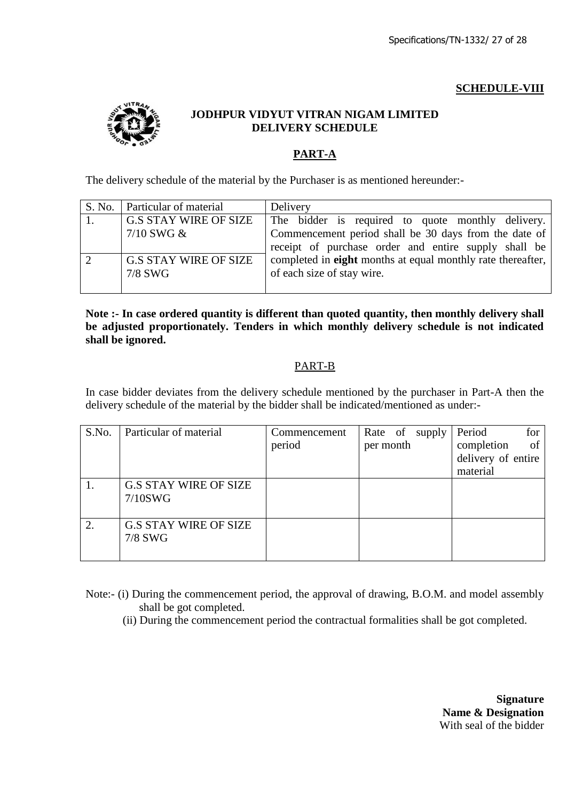# **SCHEDULE-VIII**



### **JODHPUR VIDYUT VITRAN NIGAM LIMITED DELIVERY SCHEDULE**

# **PART-A**

The delivery schedule of the material by the Purchaser is as mentioned hereunder:-

| S. No.   Particular of material | Delivery                                                           |
|---------------------------------|--------------------------------------------------------------------|
| <b>G.S STAY WIRE OF SIZE</b>    | The bidder is required to quote monthly delivery.                  |
| $7/10$ SWG $\&$                 | Commencement period shall be 30 days from the date of              |
|                                 | receipt of purchase order and entire supply shall be               |
| <b>G.S STAY WIRE OF SIZE</b>    | completed in <b>eight</b> months at equal monthly rate thereafter, |
| 7/8 SWG                         | of each size of stay wire.                                         |
|                                 |                                                                    |

**Note :- In case ordered quantity is different than quoted quantity, then monthly delivery shall be adjusted proportionately. Tenders in which monthly delivery schedule is not indicated shall be ignored.** 

### PART-B

In case bidder deviates from the delivery schedule mentioned by the purchaser in Part-A then the delivery schedule of the material by the bidder shall be indicated/mentioned as under:-

| S.No. | Particular of material                     | Commencement<br>period | Rate of supply<br>per month | Period<br>for<br>completion<br>of<br>delivery of entire<br>material |
|-------|--------------------------------------------|------------------------|-----------------------------|---------------------------------------------------------------------|
|       | <b>G.S STAY WIRE OF SIZE</b><br>$7/10$ SWG |                        |                             |                                                                     |
| 2.    | <b>G.S STAY WIRE OF SIZE</b><br>7/8 SWG    |                        |                             |                                                                     |

Note:- (i) During the commencement period, the approval of drawing, B.O.M. and model assembly shall be got completed.

(ii) During the commencement period the contractual formalities shall be got completed.

**Signature Name & Designation** With seal of the bidder